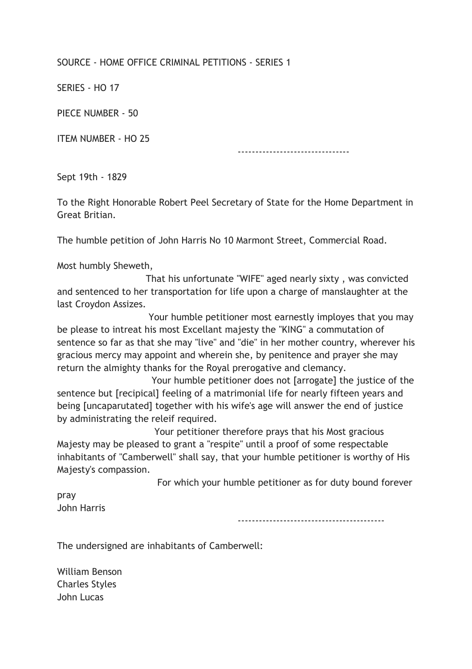## SOURCE - HOME OFFICE CRIMINAL PETITIONS - SERIES 1

SERIES - HO 17

PIECE NUMBER - 50

ITEM NUMBER - HO 25

--------------------------------

Sept 19th - 1829

To the Right Honorable Robert Peel Secretary of State for the Home Department in Great Britian.

The humble petition of John Harris No 10 Marmont Street, Commercial Road.

Most humbly Sheweth,

 That his unfortunate "WIFE" aged nearly sixty , was convicted and sentenced to her transportation for life upon a charge of manslaughter at the last Croydon Assizes.

 Your humble petitioner most earnestly imployes that you may be please to intreat his most Excellant majesty the "KING" a commutation of sentence so far as that she may "live" and "die" in her mother country, wherever his gracious mercy may appoint and wherein she, by penitence and prayer she may return the almighty thanks for the Royal prerogative and clemancy.

 Your humble petitioner does not [arrogate] the justice of the sentence but [recipical] feeling of a matrimonial life for nearly fifteen years and being [uncaparutated] together with his wife's age will answer the end of justice by administrating the releif required.

 Your petitioner therefore prays that his Most gracious Majesty may be pleased to grant a "respite" until a proof of some respectable inhabitants of "Camberwell" shall say, that your humble petitioner is worthy of His Majesty's compassion.

For which your humble petitioner as for duty bound forever

pray John Harris

------------------------------------------

The undersigned are inhabitants of Camberwell:

William Benson Charles Styles John Lucas